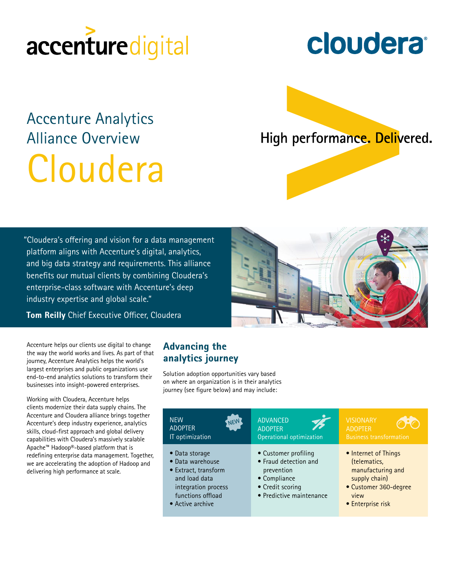# accenturedigital

# Accenture Analytics Alliance Overview Cloudera

**cloudera** 

High performance. Delivered.

"Cloudera's offering and vision for a data management platform aligns with Accenture's digital, analytics, and big data strategy and requirements. This alliance benefits our mutual clients by combining Cloudera's enterprise-class software with Accenture's deep industry expertise and global scale."

Tom Reilly Chief Executive Officer, Cloudera

Accenture helps our clients use digital to change the way the world works and lives. As part of that journey, Accenture Analytics helps the world's largest enterprises and public organizations use end-to-end analytics solutions to transform their businesses into insight-powered enterprises.

Working with Cloudera, Accenture helps clients modernize their data supply chains. The Accenture and Cloudera alliance brings together Accenture's deep industry experience, analytics skills, cloud-first approach and global delivery capabilities with Cloudera's massively scalable Apache™ Hadoop®-based platform that is redefining enterprise data management. Together, we are accelerating the adoption of Hadoop and delivering high performance at scale.

# Advancing the analytics journey

Solution adoption opportunities vary based on where an organization is in their analytics journey (see figure below) and may include:

| <b>NEW</b><br>NEW<br><b>ADOPTER</b><br>IT optimization                                                                                      | <b>ADVANCED</b><br><b>ADOPTER</b><br>Operational optimization                                                               | <b>VISIONARY</b><br><b>ADOPTER</b><br><b>Business transformation</b>                                                             |
|---------------------------------------------------------------------------------------------------------------------------------------------|-----------------------------------------------------------------------------------------------------------------------------|----------------------------------------------------------------------------------------------------------------------------------|
| • Data storage<br>• Data warehouse<br>• Extract, transform<br>and load data<br>integration process<br>functions offload<br>• Active archive | • Customer profiling<br>• Fraud detection and<br>prevention<br>• Compliance<br>• Credit scoring<br>• Predictive maintenance | • Internet of Things<br>(telematics,<br>manufacturing and<br>supply chain)<br>• Customer 360-degree<br>view<br>• Enterprise risk |